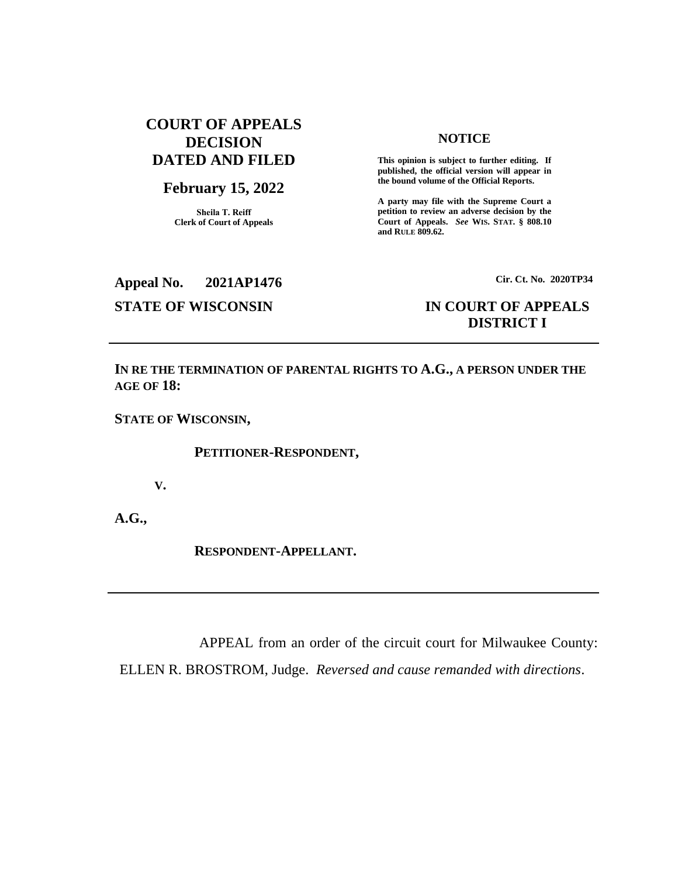# **COURT OF APPEALS DECISION DATED AND FILED**

## **February 15, 2022**

**Sheila T. Reiff Clerk of Court of Appeals**

### **NOTICE**

**This opinion is subject to further editing. If published, the official version will appear in the bound volume of the Official Reports.** 

**A party may file with the Supreme Court a petition to review an adverse decision by the Court of Appeals.** *See* **WIS. STAT. § 808.10 and RULE 809.62.** 

**Appeal No. 2021AP1476 Cir. Ct. No. 2020TP34**

# **STATE OF WISCONSIN IN COURT OF APPEALS DISTRICT I**

**IN RE THE TERMINATION OF PARENTAL RIGHTS TO A.G., A PERSON UNDER THE AGE OF 18:**

**STATE OF WISCONSIN,**

**PETITIONER-RESPONDENT,**

**V.**

**A.G.,**

**RESPONDENT-APPELLANT.**

APPEAL from an order of the circuit court for Milwaukee County:

ELLEN R. BROSTROM, Judge. *Reversed and cause remanded with directions*.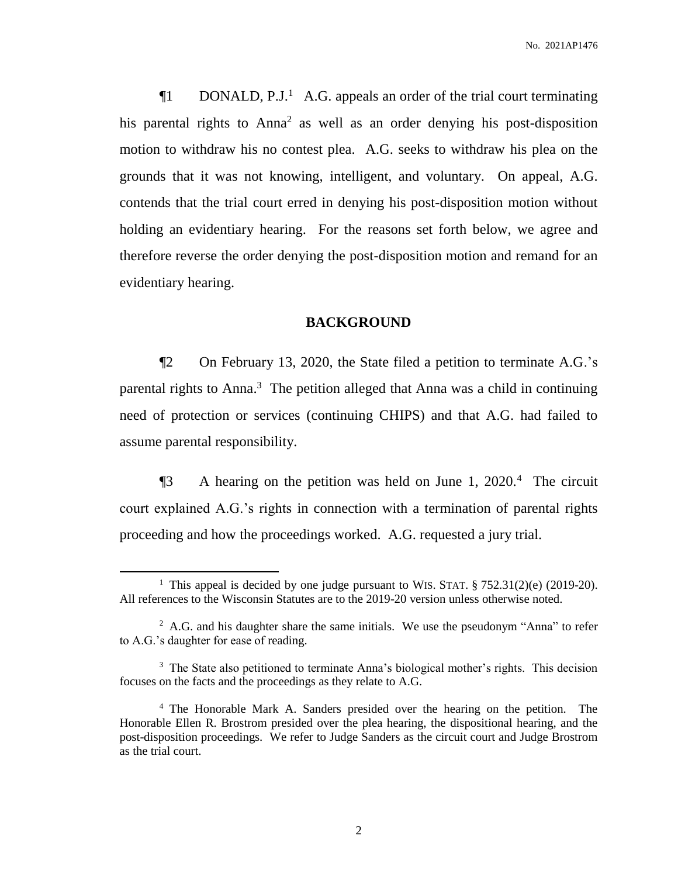$\P1$  DONALD, P.J.<sup>1</sup> A.G. appeals an order of the trial court terminating his parental rights to Anna<sup>2</sup> as well as an order denying his post-disposition motion to withdraw his no contest plea. A.G. seeks to withdraw his plea on the grounds that it was not knowing, intelligent, and voluntary. On appeal, A.G. contends that the trial court erred in denying his post-disposition motion without holding an evidentiary hearing. For the reasons set forth below, we agree and therefore reverse the order denying the post-disposition motion and remand for an evidentiary hearing.

## **BACKGROUND**

¶2 On February 13, 2020, the State filed a petition to terminate A.G.'s parental rights to Anna.<sup>3</sup> The petition alleged that Anna was a child in continuing need of protection or services (continuing CHIPS) and that A.G. had failed to assume parental responsibility.

¶3 A hearing on the petition was held on June 1, 2020.<sup>4</sup> The circuit court explained A.G.'s rights in connection with a termination of parental rights proceeding and how the proceedings worked. A.G. requested a jury trial.

<sup>&</sup>lt;sup>1</sup> This appeal is decided by one judge pursuant to WIS. STAT.  $\S 752.31(2)(e)$  (2019-20). All references to the Wisconsin Statutes are to the 2019-20 version unless otherwise noted.

<sup>&</sup>lt;sup>2</sup> A.G. and his daughter share the same initials. We use the pseudonym "Anna" to refer to A.G.'s daughter for ease of reading.

<sup>&</sup>lt;sup>3</sup> The State also petitioned to terminate Anna's biological mother's rights. This decision focuses on the facts and the proceedings as they relate to A.G.

<sup>4</sup> The Honorable Mark A. Sanders presided over the hearing on the petition. The Honorable Ellen R. Brostrom presided over the plea hearing, the dispositional hearing, and the post-disposition proceedings. We refer to Judge Sanders as the circuit court and Judge Brostrom as the trial court.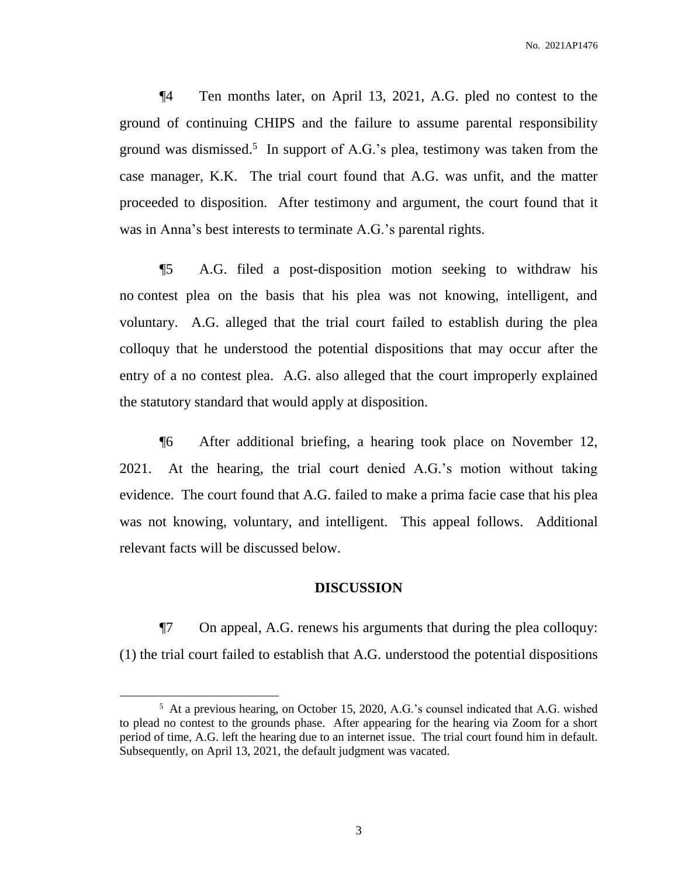¶4 Ten months later, on April 13, 2021, A.G. pled no contest to the ground of continuing CHIPS and the failure to assume parental responsibility ground was dismissed. 5 In support of A.G.'s plea, testimony was taken from the case manager, K.K. The trial court found that A.G. was unfit, and the matter proceeded to disposition. After testimony and argument, the court found that it was in Anna's best interests to terminate A.G.'s parental rights.

¶5 A.G. filed a post-disposition motion seeking to withdraw his no contest plea on the basis that his plea was not knowing, intelligent, and voluntary. A.G. alleged that the trial court failed to establish during the plea colloquy that he understood the potential dispositions that may occur after the entry of a no contest plea. A.G. also alleged that the court improperly explained the statutory standard that would apply at disposition.

¶6 After additional briefing, a hearing took place on November 12, 2021. At the hearing, the trial court denied A.G.'s motion without taking evidence. The court found that A.G. failed to make a prima facie case that his plea was not knowing, voluntary, and intelligent. This appeal follows. Additional relevant facts will be discussed below.

### **DISCUSSION**

¶7 On appeal, A.G. renews his arguments that during the plea colloquy: (1) the trial court failed to establish that A.G. understood the potential dispositions

<sup>&</sup>lt;sup>5</sup> At a previous hearing, on October 15, 2020, A.G.'s counsel indicated that A.G. wished to plead no contest to the grounds phase. After appearing for the hearing via Zoom for a short period of time, A.G. left the hearing due to an internet issue. The trial court found him in default. Subsequently, on April 13, 2021, the default judgment was vacated.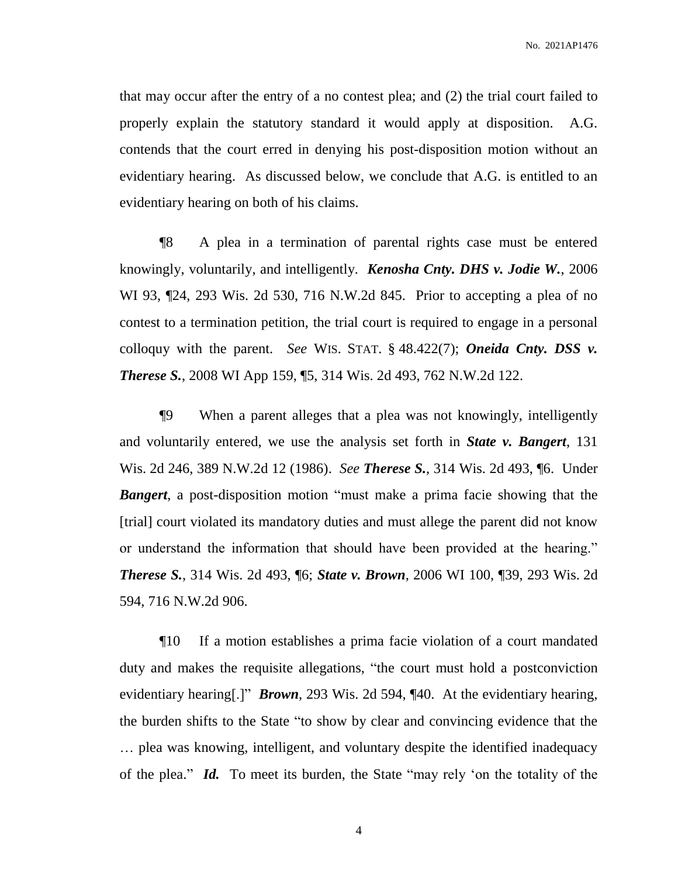that may occur after the entry of a no contest plea; and (2) the trial court failed to properly explain the statutory standard it would apply at disposition. A.G. contends that the court erred in denying his post-disposition motion without an evidentiary hearing. As discussed below, we conclude that A.G. is entitled to an evidentiary hearing on both of his claims.

¶8 A plea in a termination of parental rights case must be entered knowingly, voluntarily, and intelligently. *Kenosha Cnty. DHS v. Jodie W.*, 2006 WI 93, ¶24, 293 Wis. 2d 530, 716 N.W.2d 845. Prior to accepting a plea of no contest to a termination petition, the trial court is required to engage in a personal colloquy with the parent. *See* WIS. STAT. § 48.422(7); *Oneida Cnty. DSS v. Therese S.*, 2008 WI App 159, ¶5, 314 Wis. 2d 493, 762 N.W.2d 122.

¶9 When a parent alleges that a plea was not knowingly, intelligently and voluntarily entered, we use the analysis set forth in *State v. Bangert*, 131 Wis. 2d 246, 389 N.W.2d 12 (1986). *See Therese S.*, 314 Wis. 2d 493, ¶6. Under *Bangert*, a post-disposition motion "must make a prima facie showing that the [trial] court violated its mandatory duties and must allege the parent did not know or understand the information that should have been provided at the hearing." *Therese S.*, 314 Wis. 2d 493, ¶6; *State v. Brown*, 2006 WI 100, ¶39, 293 Wis. 2d 594, 716 N.W.2d 906.

¶10 If a motion establishes a prima facie violation of a court mandated duty and makes the requisite allegations, "the court must hold a postconviction evidentiary hearing[.]" *Brown*, 293 Wis. 2d 594, ¶40. At the evidentiary hearing, the burden shifts to the State "to show by clear and convincing evidence that the … plea was knowing, intelligent, and voluntary despite the identified inadequacy of the plea." *Id.* To meet its burden, the State "may rely 'on the totality of the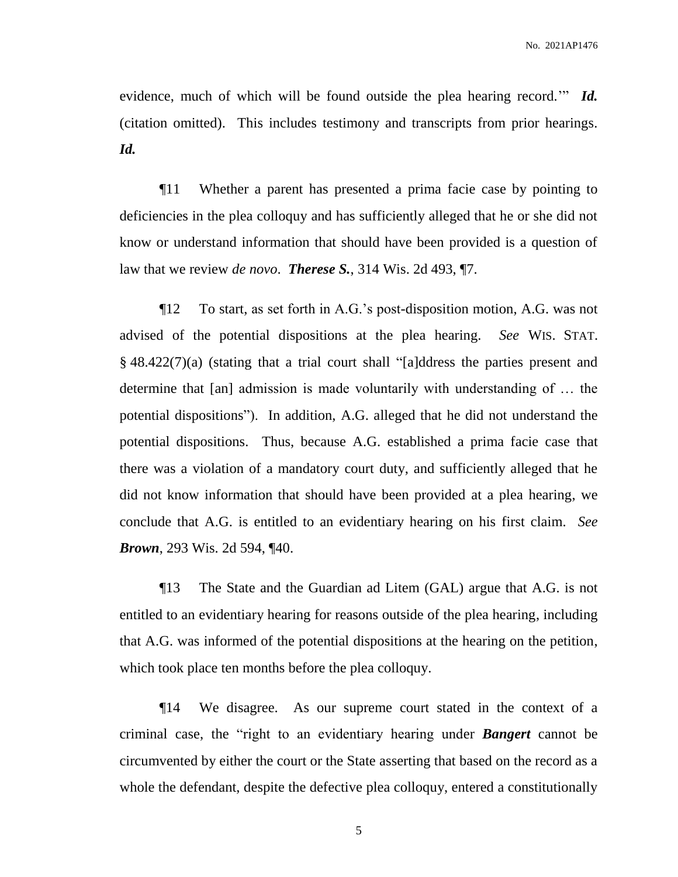evidence, much of which will be found outside the plea hearing record.'" *Id.* (citation omitted). This includes testimony and transcripts from prior hearings. *Id.*

¶11 Whether a parent has presented a prima facie case by pointing to deficiencies in the plea colloquy and has sufficiently alleged that he or she did not know or understand information that should have been provided is a question of law that we review *de novo*. *Therese S.*, 314 Wis. 2d 493, ¶7.

¶12 To start, as set forth in A.G.'s post-disposition motion, A.G. was not advised of the potential dispositions at the plea hearing. *See* WIS. STAT. § 48.422(7)(a) (stating that a trial court shall "[a]ddress the parties present and determine that [an] admission is made voluntarily with understanding of … the potential dispositions"). In addition, A.G. alleged that he did not understand the potential dispositions. Thus, because A.G. established a prima facie case that there was a violation of a mandatory court duty, and sufficiently alleged that he did not know information that should have been provided at a plea hearing, we conclude that A.G. is entitled to an evidentiary hearing on his first claim. *See Brown*, 293 Wis. 2d 594, ¶40.

¶13 The State and the Guardian ad Litem (GAL) argue that A.G. is not entitled to an evidentiary hearing for reasons outside of the plea hearing, including that A.G. was informed of the potential dispositions at the hearing on the petition, which took place ten months before the plea colloquy.

¶14 We disagree. As our supreme court stated in the context of a criminal case, the "right to an evidentiary hearing under *Bangert* cannot be circumvented by either the court or the State asserting that based on the record as a whole the defendant, despite the defective plea colloquy, entered a constitutionally

5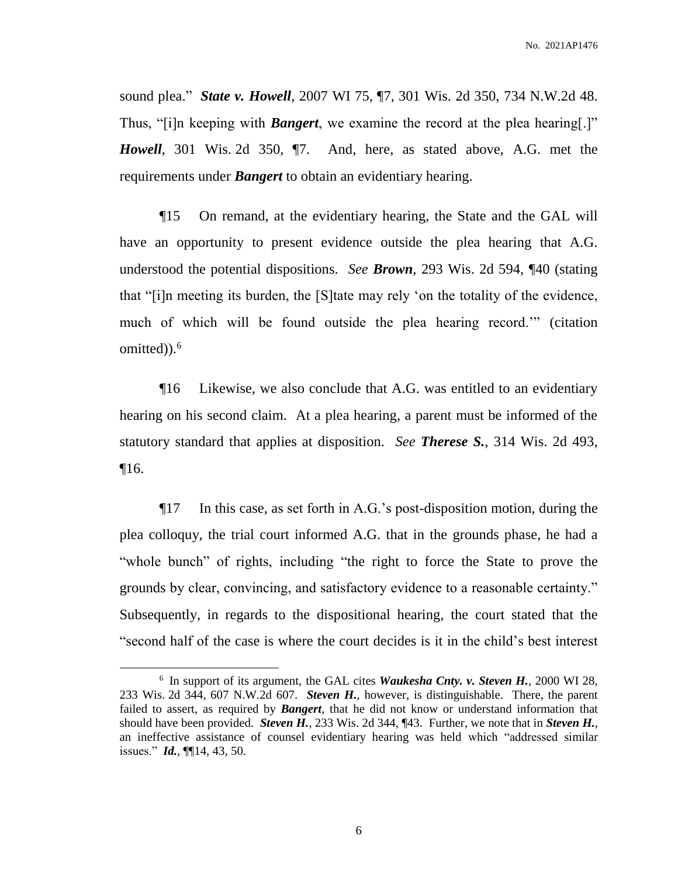sound plea." *State v. Howell*, 2007 WI 75, ¶7, 301 Wis. 2d 350, 734 N.W.2d 48. Thus, "[i]n keeping with *Bangert*, we examine the record at the plea hearing[.]" *Howell*, 301 Wis. 2d 350, ¶7. And, here, as stated above, A.G. met the requirements under *Bangert* to obtain an evidentiary hearing.

¶15 On remand, at the evidentiary hearing, the State and the GAL will have an opportunity to present evidence outside the plea hearing that A.G. understood the potential dispositions. *See Brown*, 293 Wis. 2d 594, ¶40 (stating that "[i]n meeting its burden, the [S]tate may rely 'on the totality of the evidence, much of which will be found outside the plea hearing record.'" (citation omitted)). 6

¶16 Likewise, we also conclude that A.G. was entitled to an evidentiary hearing on his second claim. At a plea hearing, a parent must be informed of the statutory standard that applies at disposition. *See Therese S.*, 314 Wis. 2d 493, ¶16.

¶17 In this case, as set forth in A.G.'s post-disposition motion, during the plea colloquy, the trial court informed A.G. that in the grounds phase, he had a "whole bunch" of rights, including "the right to force the State to prove the grounds by clear, convincing, and satisfactory evidence to a reasonable certainty." Subsequently, in regards to the dispositional hearing, the court stated that the "second half of the case is where the court decides is it in the child's best interest

 $\overline{a}$ 

6

<sup>6</sup> In support of its argument, the GAL cites *Waukesha Cnty. v. Steven H.*, 2000 WI 28, 233 Wis. 2d 344, 607 N.W.2d 607. *Steven H.*, however, is distinguishable. There, the parent failed to assert, as required by *Bangert*, that he did not know or understand information that should have been provided. *Steven H.*, 233 Wis. 2d 344, ¶43. Further, we note that in *Steven H.*, an ineffective assistance of counsel evidentiary hearing was held which "addressed similar issues." *Id.*, ¶¶14, 43, 50.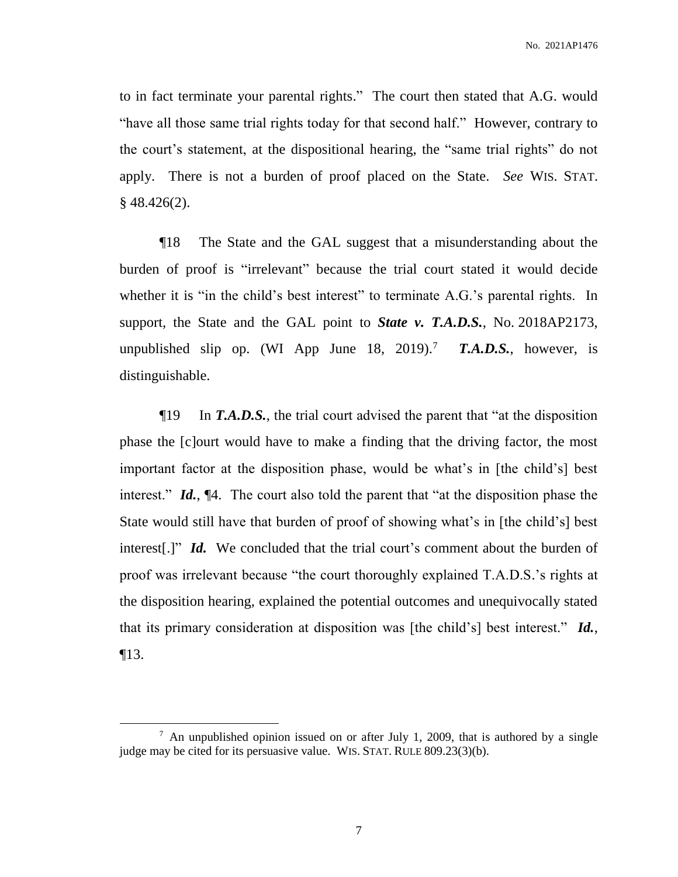to in fact terminate your parental rights." The court then stated that A.G. would "have all those same trial rights today for that second half." However, contrary to the court's statement, at the dispositional hearing, the "same trial rights" do not apply. There is not a burden of proof placed on the State. *See* WIS. STAT.  $§$  48.426(2).

¶18 The State and the GAL suggest that a misunderstanding about the burden of proof is "irrelevant" because the trial court stated it would decide whether it is "in the child's best interest" to terminate A.G.'s parental rights. In support, the State and the GAL point to *State v. T.A.D.S.*, No. 2018AP2173, unpublished slip op. (WI App June 18, 2019).<sup>7</sup> *T.A.D.S.*, however, is distinguishable.

¶19 In *T.A.D.S.*, the trial court advised the parent that "at the disposition phase the [c]ourt would have to make a finding that the driving factor, the most important factor at the disposition phase, would be what's in [the child's] best interest." *Id.*, ¶4. The court also told the parent that "at the disposition phase the State would still have that burden of proof of showing what's in [the child's] best interest[.]" *Id.* We concluded that the trial court's comment about the burden of proof was irrelevant because "the court thoroughly explained T.A.D.S.'s rights at the disposition hearing, explained the potential outcomes and unequivocally stated that its primary consideration at disposition was [the child's] best interest." *Id.*, ¶13.

 $7$  An unpublished opinion issued on or after July 1, 2009, that is authored by a single judge may be cited for its persuasive value. WIS. STAT. RULE 809.23(3)(b).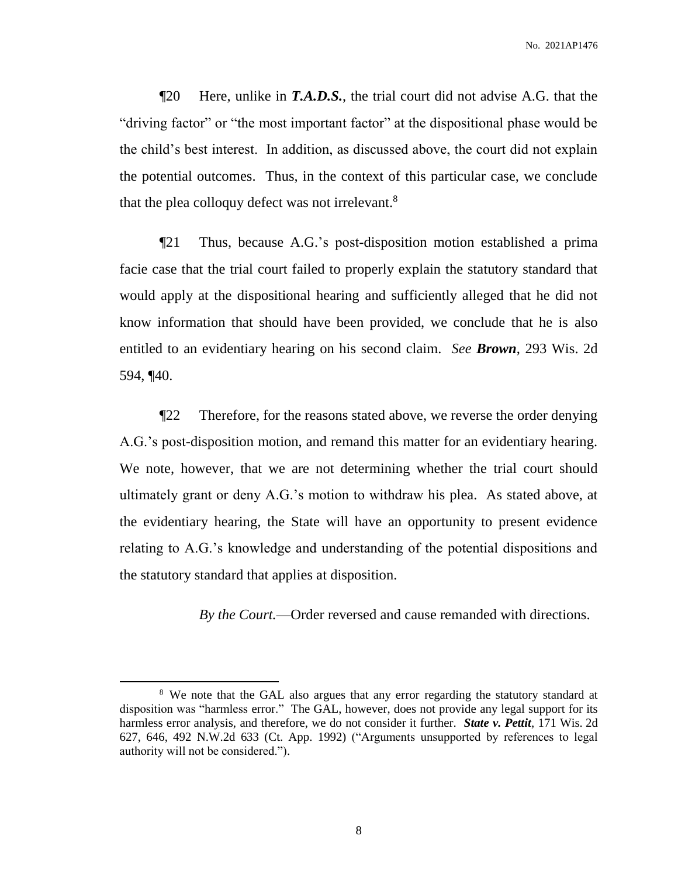¶20 Here, unlike in *T.A.D.S.*, the trial court did not advise A.G. that the "driving factor" or "the most important factor" at the dispositional phase would be the child's best interest. In addition, as discussed above, the court did not explain the potential outcomes. Thus, in the context of this particular case, we conclude that the plea colloquy defect was not irrelevant.<sup>8</sup>

¶21 Thus, because A.G.'s post-disposition motion established a prima facie case that the trial court failed to properly explain the statutory standard that would apply at the dispositional hearing and sufficiently alleged that he did not know information that should have been provided, we conclude that he is also entitled to an evidentiary hearing on his second claim. *See Brown*, 293 Wis. 2d 594, ¶40.

¶22 Therefore, for the reasons stated above, we reverse the order denying A.G.'s post-disposition motion, and remand this matter for an evidentiary hearing. We note, however, that we are not determining whether the trial court should ultimately grant or deny A.G.'s motion to withdraw his plea. As stated above, at the evidentiary hearing, the State will have an opportunity to present evidence relating to A.G.'s knowledge and understanding of the potential dispositions and the statutory standard that applies at disposition.

*By the Court.*—Order reversed and cause remanded with directions.

<sup>&</sup>lt;sup>8</sup> We note that the GAL also argues that any error regarding the statutory standard at disposition was "harmless error." The GAL, however, does not provide any legal support for its harmless error analysis, and therefore, we do not consider it further. *State v. Pettit*, 171 Wis. 2d 627, 646, 492 N.W.2d 633 (Ct. App. 1992) ("Arguments unsupported by references to legal authority will not be considered.").